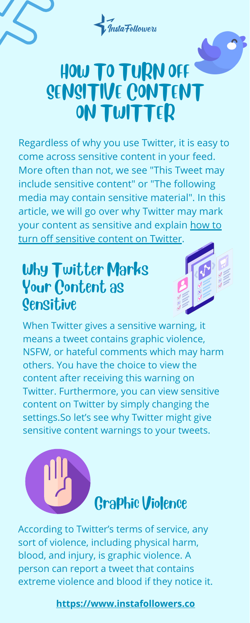## Why Twitter Marks Your Content as Sensitive









# HOW TO TURN OFF SENSITIVE CONTENT ON TWITTER

Regardless of why you use Twitter, it is easy to come across sensitive content in your feed. More often than not, we see "This Tweet may include sensitive content" or "The following media may contain sensitive material". In this article, we will go over why Twitter may mark your content as [sensitive](https://www.instafollowers.co/blog/how-to-turn-off-sensitive-content-on-twitter) and explain how to turn off sensitive content on Twitter.

When Twitter gives a sensitive warning, it means a tweet contains graphic violence, NSFW, or hateful comments which may harm others. You have the choice to view the

content after receiving this warning on Twitter. Furthermore, you can view sensitive content on Twitter by simply changing the settings.So let's see why Twitter might give sensitive content warnings to your tweets.

According to Twitter's terms of service, any sort of violence, including physical harm, blood, and injury, is graphic violence. A person can report a tweet that contains extreme violence and blood if they notice it.

**[https://www.instafollowers.co](https://www.instafollowers.co/)**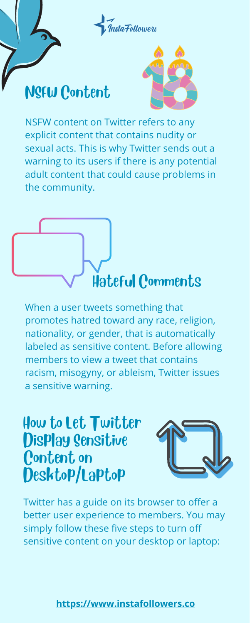When a user tweets something that promotes hatred toward any race, religion, nationality, or gender, that is automatically labeled as sensitive content. Before allowing members to view a tweet that contains racism, misogyny, or ableism, Twitter issues a sensitive warning.



#### NSFW Content



NSFW content on Twitter refers to any explicit content that contains nudity or sexual acts. This is why Twitter sends out a warning to its users if there is any potential adult content that could cause problems in the community.

**[https://www.instafollowers.co](https://www.instafollowers.co/)**



#### How to Let Twitter Display Sensitive Content on Desktop/Laptop



Twitter has a guide on its browser to offer a better user experience to members. You may simply follow these five steps to turn off sensitive content on your desktop or laptop: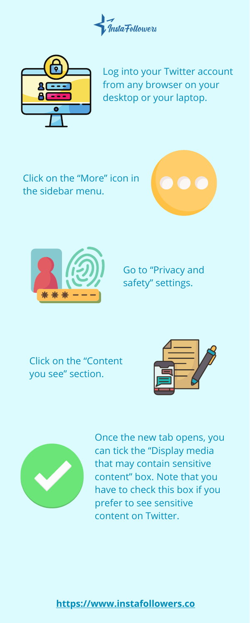Click on the "More" icon in the sidebar menu.









Log into your Twitter account from any browser on your desktop or your laptop.

**[https://www.instafollowers.co](https://www.instafollowers.co/)**

Go to "Privacy and safety" settings.

Click on the "Content



#### you see" section.



Once the new tab opens, you can tick the "Display media that may contain sensitive content" box. Note that you have to check this box if you prefer to see sensitive content on Twitter.